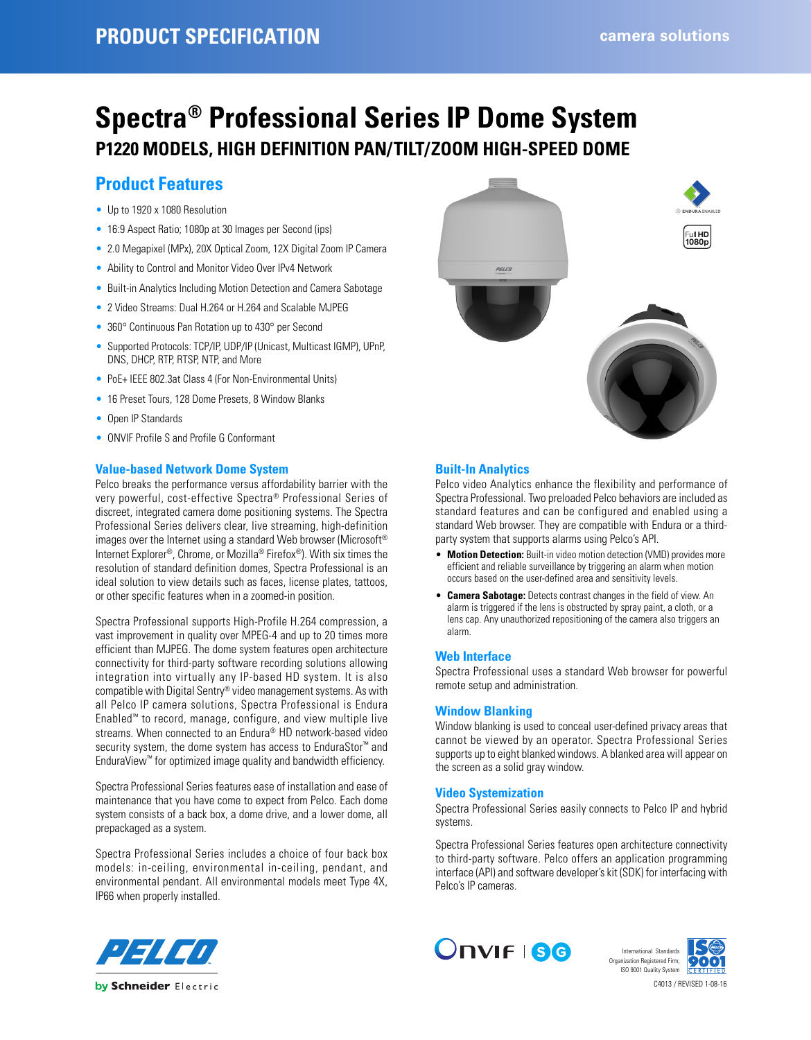# **Spectra® Professional Series IP Dome System P1220 MODELS, HIGH DEFINITION PAN/TILT/ZOOM HIGH-SPEED DOME**

# **Product Features**

- Up to 1920 x 1080 Resolution
- 16:9 Aspect Ratio; 1080p at 30 Images per Second (ips)
- 2.0 Megapixel (MPx), 20X Optical Zoom, 12X Digital Zoom IP Camera
- Ability to Control and Monitor Video Over IPv4 Network
- Built-in Analytics Including Motion Detection and Camera Sabotage
- 2 Video Streams: Dual H.264 or H.264 and Scalable MJPEG
- 360° Continuous Pan Rotation up to 430° per Second
- Supported Protocols: TCP/IP, UDP/IP (Unicast, Multicast IGMP), UPnP, DNS, DHCP, RTP, RTSP, NTP, and More
- PoE+ IEEE 802.3at Class 4 (For Non-Environmental Units)
- 16 Preset Tours, 128 Dome Presets, 8 Window Blanks
- Open IP Standards
- ONVIF Profile S and Profile G Conformant

### **Value-based Network Dome System**

Pelco breaks the performance versus affordability barrier with the very powerful, cost-effective Spectra® Professional Series of discreet, integrated camera dome positioning systems. The Spectra Professional Series delivers clear, live streaming, high-definition images over the Internet using a standard Web browser (Microsoft® Internet Explorer®, Chrome, or Mozilla® Firefox®). With six times the resolution of standard definition domes, Spectra Professional is an ideal solution to view details such as faces, license plates, tattoos, or other specific features when in a zoomed-in position.

Spectra Professional supports High-Profile H.264 compression, a vast improvement in quality over MPEG-4 and up to 20 times more efficient than MJPEG. The dome system features open architecture connectivity for third-party software recording solutions allowing integration into virtually any IP-based HD system. It is also compatible with Digital Sentry® video management systems. As with all Pelco IP camera solutions, Spectra Professional is Endura Enabled™ to record, manage, configure, and view multiple live streams. When connected to an Endura® HD network-based video security system, the dome system has access to EnduraStor™ and EnduraView™ for optimized image quality and bandwidth efficiency.

Spectra Professional Series features ease of installation and ease of maintenance that you have come to expect from Pelco. Each dome system consists of a back box, a dome drive, and a lower dome, all prepackaged as a system.

Spectra Professional Series includes a choice of four back box models: in-ceiling, environmental in-ceiling, pendant, and environmental pendant. All environmental models meet Type 4X, IP66 when properly installed.



# **Built-In Analytics**

Pelco video Analytics enhance the flexibility and performance of Spectra Professional. Two preloaded Pelco behaviors are included as standard features and can be configured and enabled using a standard Web browser. They are compatible with Endura or a thirdparty system that supports alarms using Pelco's API.

- **Motion Detection:** Built-in video motion detection (VMD) provides more efficient and reliable surveillance by triggering an alarm when motion occurs based on the user-defined area and sensitivity levels.
- **Camera Sabotage:** Detects contrast changes in the field of view. An alarm is triggered if the lens is obstructed by spray paint, a cloth, or a lens cap. Any unauthorized repositioning of the camera also triggers an alarm.

#### **Web Interface**

Spectra Professional uses a standard Web browser for powerful remote setup and administration.

### **Window Blanking**

Window blanking is used to conceal user-defined privacy areas that cannot be viewed by an operator. Spectra Professional Series supports up to eight blanked windows. A blanked area will appear on the screen as a solid gray window.

### **Video Systemization**

Spectra Professional Series easily connects to Pelco IP and hybrid systems.

Spectra Professional Series features open architecture connectivity to third-party software. Pelco offers an application programming interface (API) and software developer's kit (SDK) for interfacing with Pelco's IP cameras.





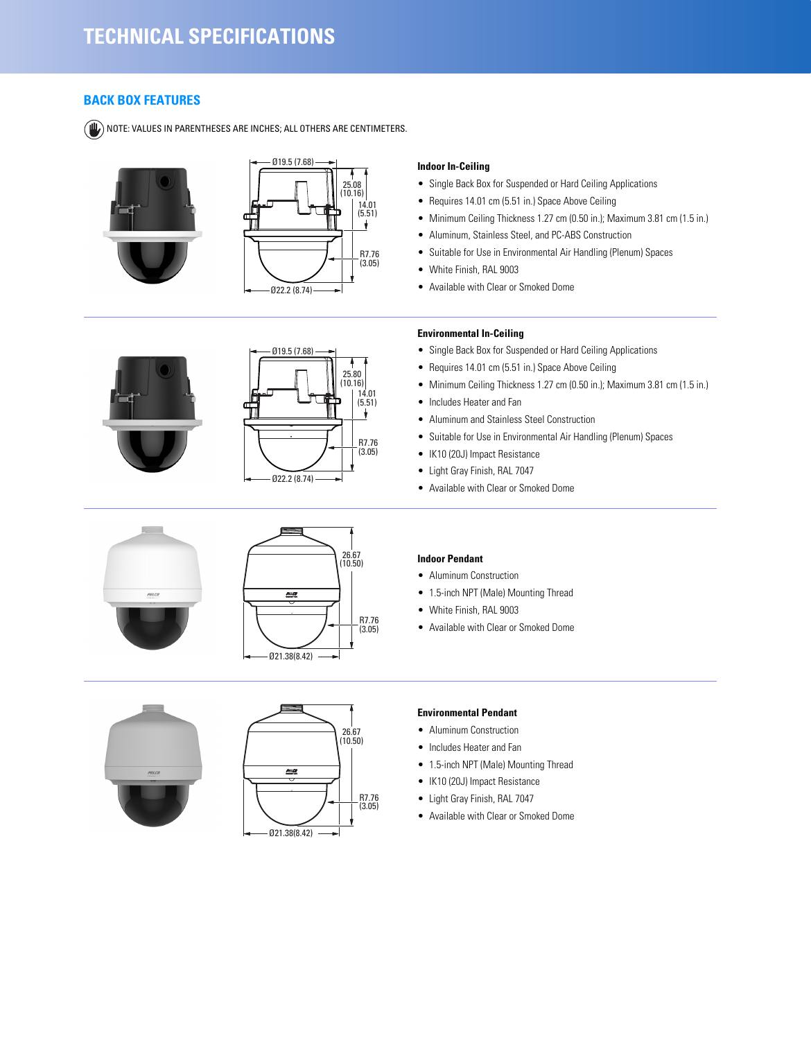# **BACK BOX FEATURES**

NOTE: VALUES IN PARENTHESES ARE INCHES; ALL OTHERS ARE CENTIMETERS.

















### **Indoor In-Ceiling**

- Single Back Box for Suspended or Hard Ceiling Applications
- Requires 14.01 cm (5.51 in.) Space Above Ceiling
- Minimum Ceiling Thickness 1.27 cm (0.50 in.); Maximum 3.81 cm (1.5 in.)
- Aluminum, Stainless Steel, and PC-ABS Construction
- Suitable for Use in Environmental Air Handling (Plenum) Spaces
- White Finish, RAL 9003
- Available with Clear or Smoked Dome

### **Environmental In-Ceiling**

- Single Back Box for Suspended or Hard Ceiling Applications
- Requires 14.01 cm (5.51 in.) Space Above Ceiling
- Minimum Ceiling Thickness 1.27 cm (0.50 in.); Maximum 3.81 cm (1.5 in.)
- Includes Heater and Fan
- Aluminum and Stainless Steel Construction
- Suitable for Use in Environmental Air Handling (Plenum) Spaces
- IK10 (20J) Impact Resistance
- Light Gray Finish, RAL 7047
- Available with Clear or Smoked Dome

#### **Indoor Pendant**

- Aluminum Construction
- 1.5-inch NPT (Male) Mounting Thread
- White Finish, RAL 9003
- Available with Clear or Smoked Dome

#### **Environmental Pendant**

- Aluminum Construction
- Includes Heater and Fan
- 1.5-inch NPT (Male) Mounting Thread
- IK10 (20J) Impact Resistance
- Light Gray Finish, RAL 7047
- Available with Clear or Smoked Dome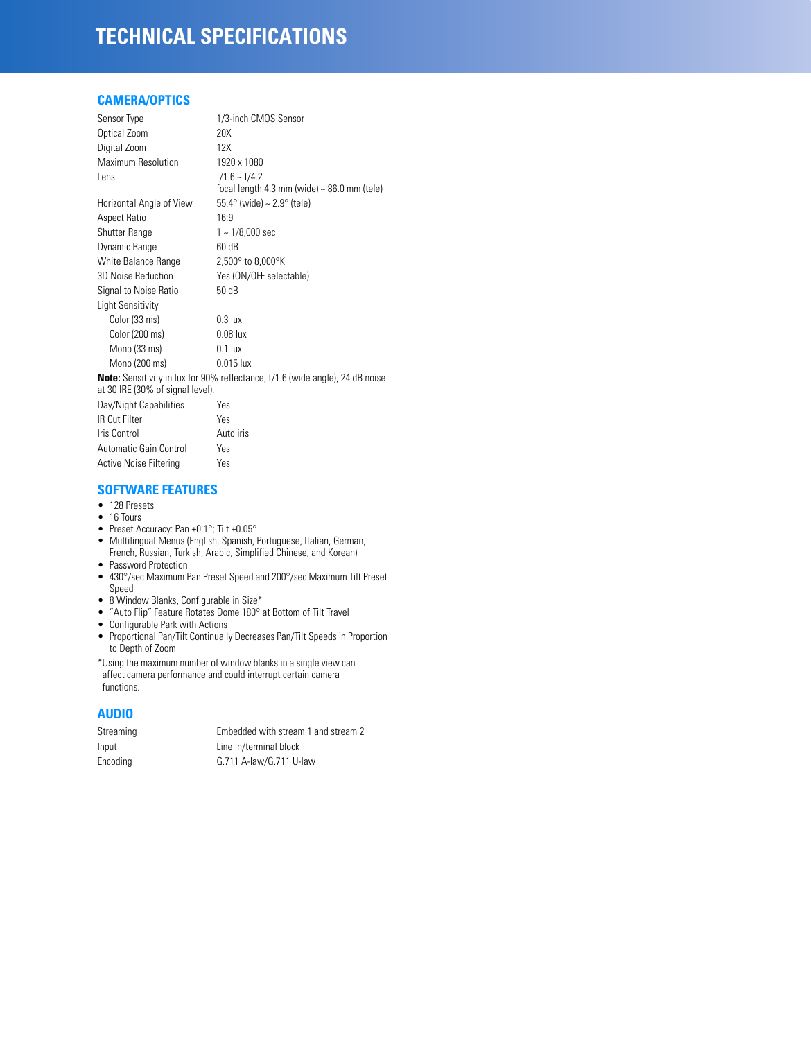# **TECHNICAL SPECIFICATIONS**

# **CAMERA/OPTICS**

| Sensor Type                      | 1/3-inch CMOS Sensor                                                                 |
|----------------------------------|--------------------------------------------------------------------------------------|
| Optical Zoom                     | 20X                                                                                  |
| Digital Zoom                     | 12X                                                                                  |
| <b>Maximum Resolution</b>        | 1920 x 1080                                                                          |
| Lens                             | $f/1.6 - f/4.2$<br>focal length 4.3 mm (wide) $\sim$ 86.0 mm (tele)                  |
| Horizontal Angle of View         | $55.4^{\circ}$ (wide) ~ 2.9 $^{\circ}$ (tele)                                        |
| <b>Aspect Ratio</b>              | 16:9                                                                                 |
| <b>Shutter Range</b>             | $1 - 1/8,000$ sec                                                                    |
| Dynamic Range                    | 60 dB                                                                                |
| White Balance Range              | $2,500^{\circ}$ to $8,000^{\circ}$ K                                                 |
| 3D Noise Reduction               | Yes (ON/OFF selectable)                                                              |
| Signal to Noise Ratio            | 50 dB                                                                                |
| <b>Light Sensitivity</b>         |                                                                                      |
| Color (33 ms)                    | $0.3$ lux                                                                            |
| Color (200 ms)                   | $0.08$ lux                                                                           |
| Mono (33 ms)                     | $0.1$ lux                                                                            |
| Mono (200 ms)                    | $0.015$ lux                                                                          |
| at 30 IRE (30% of signal level). | <b>Note:</b> Sensitivity in lux for 90% reflectance, f/1.6 (wide angle), 24 dB noise |
| Day/Night Capabilities           | Yes                                                                                  |
| <b>IR Cut Filter</b>             | Yes                                                                                  |
| Iris Control                     | Auto iris                                                                            |
| Automatic Gain Control           | Yes                                                                                  |

# **SOFTWARE FEATURES**

Active Noise Filtering Yes

- 128 Presets
- 16 Tours
- Preset Accuracy: Pan ±0.1°; Tilt ±0.05°
- Multilingual Menus (English, Spanish, Portuguese, Italian, German, French, Russian, Turkish, Arabic, Simplified Chinese, and Korean)
- Password Protection
- 430°/sec Maximum Pan Preset Speed and 200°/sec Maximum Tilt Preset Speed
- 8 Window Blanks, Configurable in Size\*
- "Auto Flip" Feature Rotates Dome 180° at Bottom of Tilt Travel
- Configurable Park with Actions
- Proportional Pan/Tilt Continually Decreases Pan/Tilt Speeds in Proportion to Depth of Zoom

\*Using the maximum number of window blanks in a single view can affect camera performance and could interrupt certain camera functions.

# **AUDIO**

| Streaming | Embedded with stream 1 and stream 2 |
|-----------|-------------------------------------|
| Input     | Line in/terminal block              |
| Encoding  | G.711 A-law/G.711 U-law             |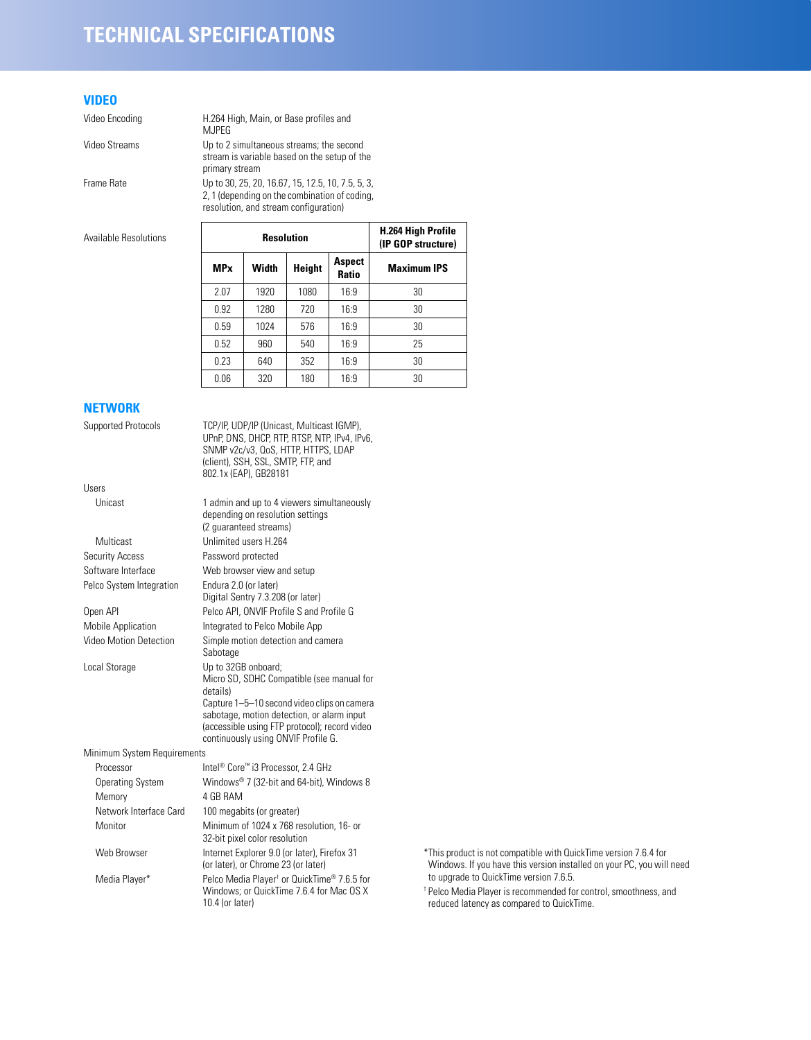# **TECHNICAL SPECIFICATIONS**

# **VIDEO**

Video Encoding H.264 High, Main, or Base profiles and MJPEG

Video Streams Up to 2 simultaneous streams; the second stream is variable based on the setup of the primary stream

Frame Rate Up to 30, 25, 20, 16.67, 15, 12.5, 10, 7.5, 5, 3, 2, 1 (depending on the combination of coding, resolution, and stream configuration)

| <b>Available Resolutions</b> | <b>Resolution</b>      |       |        | H.264 High Profile<br>(IP GOP structure) |                    |
|------------------------------|------------------------|-------|--------|------------------------------------------|--------------------|
|                              | <b>MP</b> <sub>x</sub> | Width | Height | <b>Aspect</b><br><b>Ratio</b>            | <b>Maximum IPS</b> |
|                              | 2.07                   | 1920  | 1080   | 16:9                                     | 30                 |
|                              | 0.92                   | 1280  | 720    | 16:9                                     | 30                 |
|                              | 0.59                   | 1024  | 576    | 16:9                                     | 30                 |
|                              | 0.52                   | 960   | 540    | 16:9                                     | 25                 |
|                              | 0.23                   | 640   | 352    | 16:9                                     | 30                 |
|                              | 0.06                   | 320   | 180    | 16:9                                     | 30                 |

# **NETWORK**

| Supported Protocols         | TCP/IP, UDP/IP (Unicast, Multicast IGMP),<br>UPnP, DNS, DHCP, RTP, RTSP, NTP, IPv4, IPv6,<br>SNMP v2c/v3, QoS, HTTP, HTTPS, LDAP<br>(client), SSH, SSL, SMTP, FTP, and<br>802.1x (EAP), GB28181                                                                   |                                                                                                                                                                    |
|-----------------------------|-------------------------------------------------------------------------------------------------------------------------------------------------------------------------------------------------------------------------------------------------------------------|--------------------------------------------------------------------------------------------------------------------------------------------------------------------|
| Users                       |                                                                                                                                                                                                                                                                   |                                                                                                                                                                    |
| Unicast                     | 1 admin and up to 4 viewers simultaneously<br>depending on resolution settings<br>(2 quaranteed streams)                                                                                                                                                          |                                                                                                                                                                    |
| Multicast                   | Unlimited users H.264                                                                                                                                                                                                                                             |                                                                                                                                                                    |
| <b>Security Access</b>      | Password protected                                                                                                                                                                                                                                                |                                                                                                                                                                    |
| Software Interface          | Web browser view and setup                                                                                                                                                                                                                                        |                                                                                                                                                                    |
| Pelco System Integration    | Endura 2.0 (or later)<br>Digital Sentry 7.3.208 (or later)                                                                                                                                                                                                        |                                                                                                                                                                    |
| Open API                    | Pelco API, ONVIF Profile S and Profile G                                                                                                                                                                                                                          |                                                                                                                                                                    |
| <b>Mobile Application</b>   | Integrated to Pelco Mobile App                                                                                                                                                                                                                                    |                                                                                                                                                                    |
| Video Motion Detection      | Simple motion detection and camera<br>Sabotage                                                                                                                                                                                                                    |                                                                                                                                                                    |
| Local Storage               | Up to 32GB onboard;<br>Micro SD, SDHC Compatible (see manual for<br>details)<br>Capture 1-5-10 second video clips on camera<br>sabotage, motion detection, or alarm input<br>(accessible using FTP protocol); record video<br>continuously using ONVIF Profile G. |                                                                                                                                                                    |
| Minimum System Requirements |                                                                                                                                                                                                                                                                   |                                                                                                                                                                    |
| Processor                   | Intel® Core™ i3 Processor, 2.4 GHz                                                                                                                                                                                                                                |                                                                                                                                                                    |
| <b>Operating System</b>     | Windows® 7 (32-bit and 64-bit), Windows 8                                                                                                                                                                                                                         |                                                                                                                                                                    |
| Memory                      | 4 GB RAM                                                                                                                                                                                                                                                          |                                                                                                                                                                    |
| Network Interface Card      | 100 megabits (or greater)                                                                                                                                                                                                                                         |                                                                                                                                                                    |
| Monitor                     | Minimum of 1024 x 768 resolution, 16- or<br>32-bit pixel color resolution                                                                                                                                                                                         |                                                                                                                                                                    |
| Web Browser                 | Internet Explorer 9.0 (or later), Firefox 31<br>(or later), or Chrome 23 (or later)                                                                                                                                                                               | *This product is not compatible with QuickTime version 7.6.4 for<br>Windows. If you have this version installed on your PC, you will need                          |
| Media Player*               | Pelco Media Player <sup>†</sup> or QuickTime <sup>®</sup> 7.6.5 for<br>Windows: or QuickTime 7.6.4 for Mac OS X<br>10.4 (or later)                                                                                                                                | to upgrade to QuickTime version 7.6.5.<br><sup>†</sup> Pelco Media Player is recommended for control, smoothness, and<br>reduced latency as compared to QuickTime. |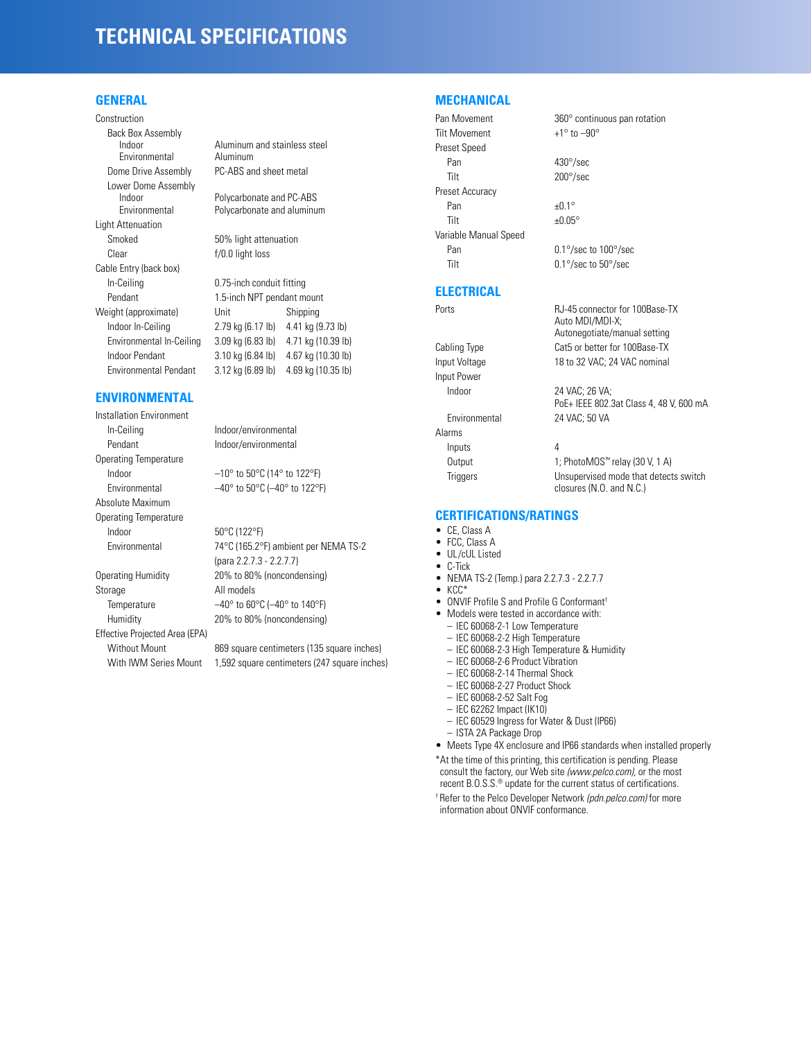# **TECHNICAL SPECIFICATIONS**

### **GENERAL**

Construction Back Box Assembly<br>Indoor Environmental Dome Drive Assembly PC-ABS and sheet metal Lower Dome Assembly Light Attenuation Smoked 50% light attenuation Clear f/0.0 light loss Cable Entry (back box) In-Ceiling Pendant Weight (approximate) Indoor In-Ceiling Environmental In-Ceiling Indoor Pendant Environmental Pendant

### **ENVIRONMENTAL**

Installation Environment In-Ceiling Indoor/environmental Pendant Indoor/environmental Operating Temperature Indoor  $-10^\circ$  to  $50^\circ$ C (14 $^\circ$  to 122 $^\circ$ F) Absolute Maximum Operating Temperature Indoor 50°C (122°F)

Storage All models Effective Projected Area (EPA)

Aluminum and stainless steel<br>Aluminum

Indoor Polycarbonate and PC-ABS<br>
Environmental Polycarbonate and aluminu Polycarbonate and aluminum

| 0.75-inch conduit fitting  |                    |  |
|----------------------------|--------------------|--|
| 1.5-inch NPT pendant mount |                    |  |
| Unit                       | Shipping           |  |
| 2.79 kg (6.17 lb)          | 4.41 kg (9.73 lb)  |  |
| 3.09 kg (6.83 lb)          | 4.71 kg (10.39 lb) |  |
| 3.10 kg (6.84 lb)          | 4.67 kg (10.30 lb) |  |
| 3.12 kg (6.89 lb)          | 4.69 kg (10.35 lb) |  |
|                            |                    |  |

Environmental  $-40^\circ$  to  $50^\circ \text{C}$  (-40° to 122°F)

Environmental 74°C (165.2°F) ambient per NEMA TS-2 (para 2.2.7.3 - 2.2.7.7) Operating Humidity 20% to 80% (noncondensing) Temperature  $-40^\circ$  to  $60^\circ$ C ( $-40^\circ$  to  $140^\circ$ F) Humidity 20% to 80% (noncondensing)

Without Mount 869 square centimeters (135 square inches) With IWM Series Mount 1,592 square centimeters (247 square inches)

### **MECHANICAL**

```
Tilt Movement +1^\circ to -90^\circPreset Speed
 Pan 430°/sec
 Tilt 200°/sec
Preset Accuracy
 Pan ±0.1°Tilt \pm 0.05^\circVariable Manual Speed
 Pan 0.1°/sec to 100°/sec
 Tilt 0.1°/sec to 50°/sec
```
#### **ELECTRICAL**

Input Voltage 18 to 32 VAC; 24 VAC nominal Input Power Alarms Inputs 4

Ports **Ports** RJ-45 connector for 100Base-TX Auto MDI/MDI-X; Autonegotiate/manual setting Cabling Type Cat5 or better for 100Base-TX

Indoor 24 VAC; 26 VA; PoE+ IEEE 802.3at Class 4, 48 V, 600 mA Environmental 24 VAC; 50 VA

Output 1; PhotoMOS™ relay (30 V, 1 A) Triggers Unsupervised mode that detects switch closures (N.O. and N.C.)

#### **CERTIFICATIONS/RATINGS**

- CE, Class A<br>• ECC Class A
- FCC, Class A
- UL/cUL Listed<br>• C-Tick
- C-Tick<br>• NEMA
- NEMA TS-2 (Temp.) para 2.2.7.3 2.2.7.7<br>• KCC\*
- KCC\*
- ONVIF Profile S and Profile G Conformant<sup>†</sup><br>• Models were tested in accordance with:
	- Models were tested in accordance with:
	- IEC 60068-2-1 Low Temperature
	- IEC 60068-2-2 High Temperature
	- IEC 60068-2-3 High Temperature & Humidity
	- IEC 60068-2-6 Product Vibration
	- IEC 60068-2-14 Thermal Shock
	- IEC 60068-2-27 Product Shock
	- IEC 60068-2-52 Salt Fog
	- IEC 62262 Impact (IK10)
	- IEC 60529 Ingress for Water & Dust (IP66)
	- ISTA 2A Package Drop
- Meets Type 4X enclosure and IP66 standards when installed properly
- \*At the time of this printing, this certification is pending. Please consult the factory, our Web site *(www.pelco.com),* or the most recent B.O.S.S.® update for the current status of certifications.
- † Refer to the Pelco Developer Network *(pdn.pelco.com)* for more information about ONVIF conformance.

Pan Movement 360° continuous pan rotation